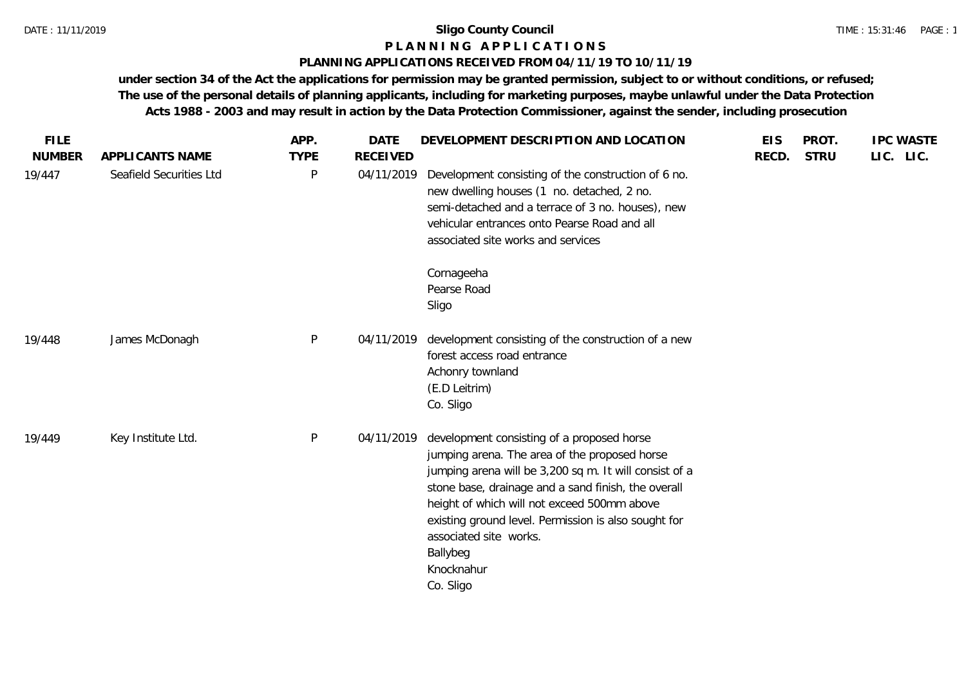## **P L A N N I N G A P P L I C A T I O N S**

#### **PLANNING APPLICATIONS RECEIVED FROM 04/11/19 TO 10/11/19**

| <b>FILE</b><br><b>NUMBER</b> | APPLICANTS NAME         | APP.<br><b>TYPE</b> | <b>DATE</b><br><b>RECEIVED</b> | DEVELOPMENT DESCRIPTION AND LOCATION                                                                                                                                                                                                                                                                                                                                                 | <b>EIS</b><br>RECD. | PROT.<br><b>STRU</b> | <b>IPC WASTE</b><br>LIC. LIC. |
|------------------------------|-------------------------|---------------------|--------------------------------|--------------------------------------------------------------------------------------------------------------------------------------------------------------------------------------------------------------------------------------------------------------------------------------------------------------------------------------------------------------------------------------|---------------------|----------------------|-------------------------------|
| 19/447                       | Seafield Securities Ltd | $\mathsf{P}$        | 04/11/2019                     | Development consisting of the construction of 6 no.<br>new dwelling houses (1 no. detached, 2 no.<br>semi-detached and a terrace of 3 no. houses), new<br>vehicular entrances onto Pearse Road and all<br>associated site works and services                                                                                                                                         |                     |                      |                               |
|                              |                         |                     |                                | Cornageeha<br>Pearse Road<br>Sligo                                                                                                                                                                                                                                                                                                                                                   |                     |                      |                               |
| 19/448                       | James McDonagh          | P                   | 04/11/2019                     | development consisting of the construction of a new<br>forest access road entrance<br>Achonry townland<br>(E.D Leitrim)<br>Co. Sligo                                                                                                                                                                                                                                                 |                     |                      |                               |
| 19/449                       | Key Institute Ltd.      | P                   | 04/11/2019                     | development consisting of a proposed horse<br>jumping arena. The area of the proposed horse<br>jumping arena will be 3,200 sq m. It will consist of a<br>stone base, drainage and a sand finish, the overall<br>height of which will not exceed 500mm above<br>existing ground level. Permission is also sought for<br>associated site works.<br>Ballybeg<br>Knocknahur<br>Co. Sligo |                     |                      |                               |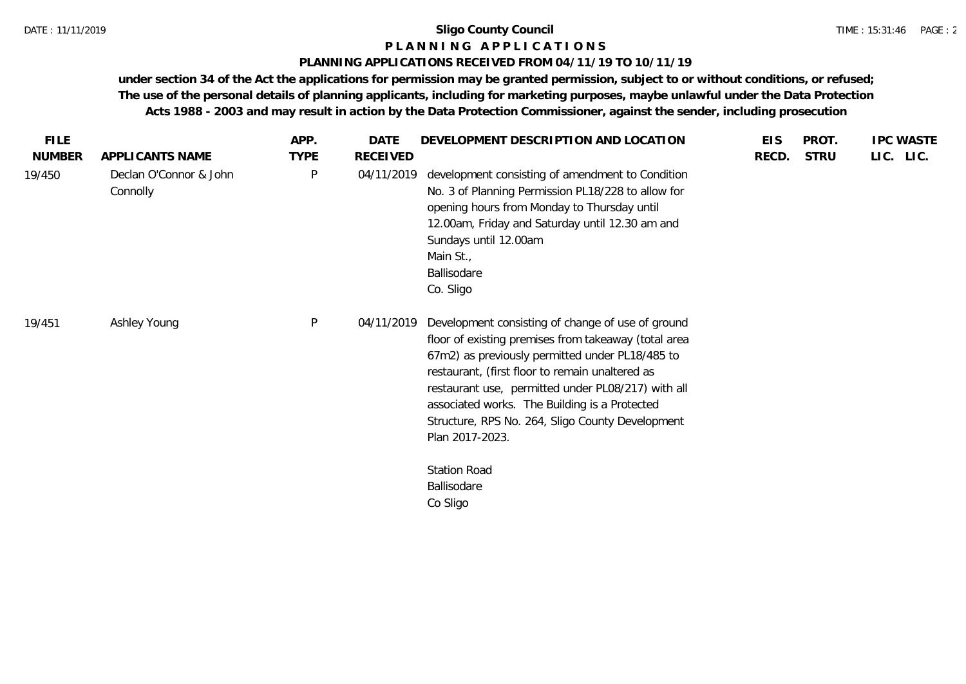#### **P L A N N I N G A P P L I C A T I O N S**

#### **PLANNING APPLICATIONS RECEIVED FROM 04/11/19 TO 10/11/19**

|                                    |              |                 | DEVELOPMENT DESCRIPTION AND LOCATION                                                                                                                                                                                                                                                                                                                                                                                                | <b>EIS</b> | PROT.       | <b>IPC WASTE</b> |
|------------------------------------|--------------|-----------------|-------------------------------------------------------------------------------------------------------------------------------------------------------------------------------------------------------------------------------------------------------------------------------------------------------------------------------------------------------------------------------------------------------------------------------------|------------|-------------|------------------|
| APPLICANTS NAME                    | <b>TYPE</b>  | <b>RECEIVED</b> |                                                                                                                                                                                                                                                                                                                                                                                                                                     | RECD.      | <b>STRU</b> | LIC. LIC.        |
| Declan O'Connor & John<br>Connolly | P            | 04/11/2019      | development consisting of amendment to Condition<br>No. 3 of Planning Permission PL18/228 to allow for<br>opening hours from Monday to Thursday until<br>12.00am, Friday and Saturday until 12.30 am and<br>Sundays until 12.00am<br>Main St.,<br>Ballisodare<br>Co. Sligo                                                                                                                                                          |            |             |                  |
| Ashley Young                       | $\mathsf{P}$ | 04/11/2019      | Development consisting of change of use of ground<br>floor of existing premises from takeaway (total area<br>67m2) as previously permitted under PL18/485 to<br>restaurant, (first floor to remain unaltered as<br>restaurant use, permitted under PL08/217) with all<br>associated works. The Building is a Protected<br>Structure, RPS No. 264, Sligo County Development<br>Plan 2017-2023.<br><b>Station Road</b><br>Ballisodare |            |             |                  |
|                                    |              |                 |                                                                                                                                                                                                                                                                                                                                                                                                                                     |            |             |                  |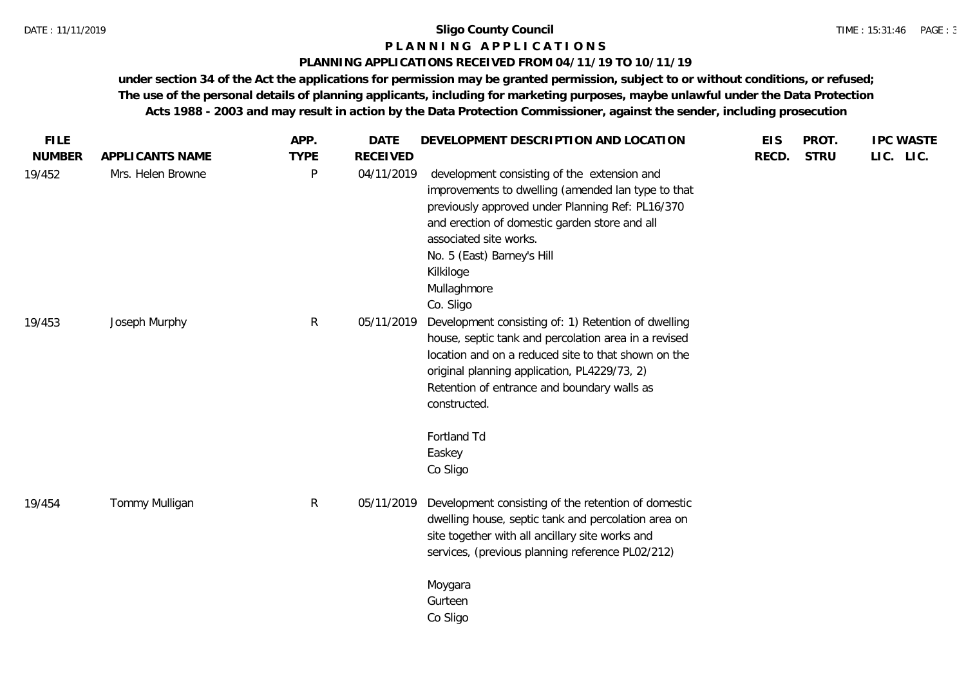#### **P L A N N I N G A P P L I C A T I O N S**

#### **PLANNING APPLICATIONS RECEIVED FROM 04/11/19 TO 10/11/19**

| <b>FILE</b>   |                   | APP.         | <b>DATE</b>     | DEVELOPMENT DESCRIPTION AND LOCATION                                                                                                                                                                                                                                                                    | <b>EIS</b> | PROT.       | <b>IPC WASTE</b> |
|---------------|-------------------|--------------|-----------------|---------------------------------------------------------------------------------------------------------------------------------------------------------------------------------------------------------------------------------------------------------------------------------------------------------|------------|-------------|------------------|
| <b>NUMBER</b> | APPLICANTS NAME   | <b>TYPE</b>  | <b>RECEIVED</b> |                                                                                                                                                                                                                                                                                                         | RECD.      | <b>STRU</b> | LIC. LIC.        |
| 19/452        | Mrs. Helen Browne | P            | 04/11/2019      | development consisting of the extension and<br>improvements to dwelling (amended lan type to that<br>previously approved under Planning Ref: PL16/370<br>and erection of domestic garden store and all<br>associated site works.<br>No. 5 (East) Barney's Hill<br>Kilkiloge<br>Mullaghmore<br>Co. Sligo |            |             |                  |
| 19/453        | Joseph Murphy     | $\mathsf{R}$ | 05/11/2019      | Development consisting of: 1) Retention of dwelling<br>house, septic tank and percolation area in a revised<br>location and on a reduced site to that shown on the<br>original planning application, PL4229/73, 2)<br>Retention of entrance and boundary walls as<br>constructed.                       |            |             |                  |
|               |                   |              |                 | Fortland Td<br>Easkey<br>Co Sligo                                                                                                                                                                                                                                                                       |            |             |                  |
| 19/454        | Tommy Mulligan    | $\mathsf{R}$ | 05/11/2019      | Development consisting of the retention of domestic<br>dwelling house, septic tank and percolation area on<br>site together with all ancillary site works and<br>services, (previous planning reference PL02/212)                                                                                       |            |             |                  |
|               |                   |              |                 | Moygara<br>Gurteen<br>Co Sligo                                                                                                                                                                                                                                                                          |            |             |                  |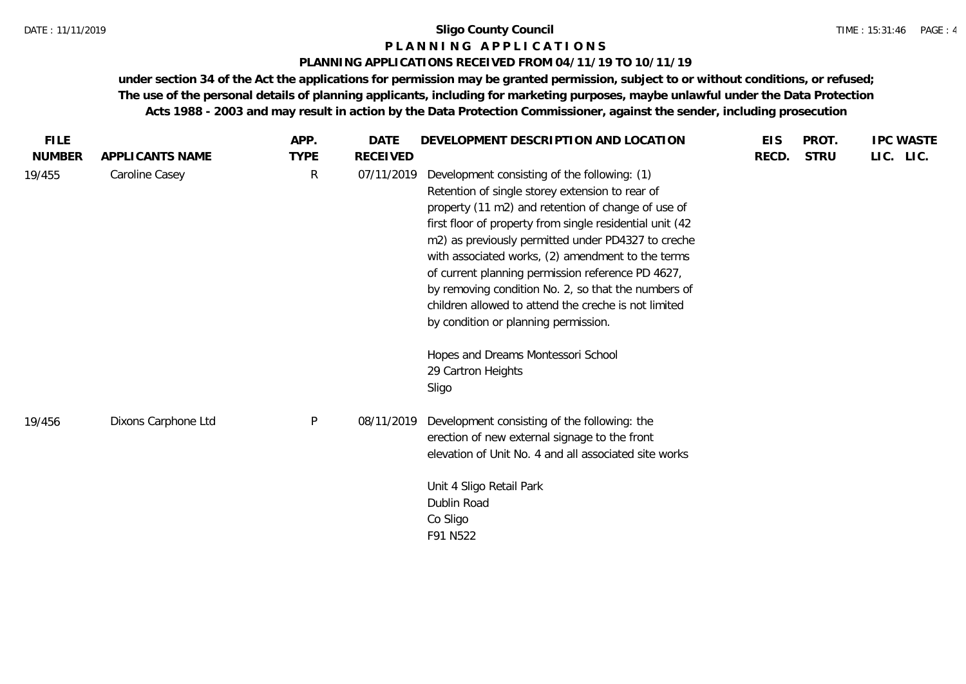#### **P L A N N I N G A P P L I C A T I O N S**

#### **PLANNING APPLICATIONS RECEIVED FROM 04/11/19 TO 10/11/19**

| <b>FILE</b>   |                     | APP.         | DATE            | DEVELOPMENT DESCRIPTION AND LOCATION                                                                                                                                                                                                                                                                                                                                                                                                                                                                                                     | <b>EIS</b> | PROT.       | <b>IPC WASTE</b> |
|---------------|---------------------|--------------|-----------------|------------------------------------------------------------------------------------------------------------------------------------------------------------------------------------------------------------------------------------------------------------------------------------------------------------------------------------------------------------------------------------------------------------------------------------------------------------------------------------------------------------------------------------------|------------|-------------|------------------|
| <b>NUMBER</b> | APPLICANTS NAME     | <b>TYPE</b>  | <b>RECEIVED</b> |                                                                                                                                                                                                                                                                                                                                                                                                                                                                                                                                          | RECD.      | <b>STRU</b> | LIC. LIC.        |
| 19/455        | Caroline Casey      | R            | 07/11/2019      | Development consisting of the following: (1)<br>Retention of single storey extension to rear of<br>property (11 m2) and retention of change of use of<br>first floor of property from single residential unit (42<br>m2) as previously permitted under PD4327 to creche<br>with associated works, (2) amendment to the terms<br>of current planning permission reference PD 4627,<br>by removing condition No. 2, so that the numbers of<br>children allowed to attend the creche is not limited<br>by condition or planning permission. |            |             |                  |
|               |                     |              |                 | Hopes and Dreams Montessori School<br>29 Cartron Heights<br>Sligo                                                                                                                                                                                                                                                                                                                                                                                                                                                                        |            |             |                  |
| 19/456        | Dixons Carphone Ltd | $\mathsf{P}$ | 08/11/2019      | Development consisting of the following: the<br>erection of new external signage to the front<br>elevation of Unit No. 4 and all associated site works                                                                                                                                                                                                                                                                                                                                                                                   |            |             |                  |
|               |                     |              |                 | Unit 4 Sligo Retail Park<br>Dublin Road<br>Co Sligo<br>F91 N522                                                                                                                                                                                                                                                                                                                                                                                                                                                                          |            |             |                  |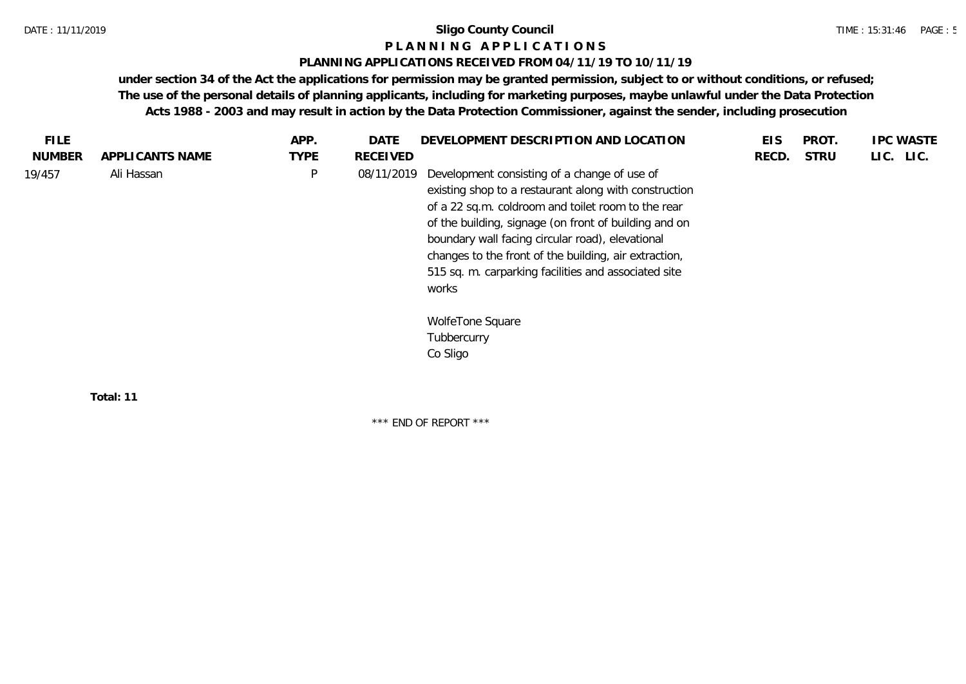#### **P L A N N I N G A P P L I C A T I O N S**

#### **PLANNING APPLICATIONS RECEIVED FROM 04/11/19 TO 10/11/19**

**under section 34 of the Act the applications for permission may be granted permission, subject to or without conditions, or refused; The use of the personal details of planning applicants, including for marketing purposes, maybe unlawful under the Data Protection Acts 1988 - 2003 and may result in action by the Data Protection Commissioner, against the sender, including prosecution**

| <b>FILE</b>   |                 | APP.        | <b>DATE</b>     | DEVELOPMENT DESCRIPTION AND LOCATION                                                                                                                                                                                                                                                                                                                                                               | <b>EIS</b> | PROT.       | <b>IPC WASTE</b> |
|---------------|-----------------|-------------|-----------------|----------------------------------------------------------------------------------------------------------------------------------------------------------------------------------------------------------------------------------------------------------------------------------------------------------------------------------------------------------------------------------------------------|------------|-------------|------------------|
| <b>NUMBER</b> | APPLICANTS NAME | <b>TYPE</b> | <b>RECEIVED</b> |                                                                                                                                                                                                                                                                                                                                                                                                    | RECD.      | <b>STRU</b> | LIC. LIC.        |
| 19/457        | Ali Hassan      | $\sf P$     | 08/11/2019      | Development consisting of a change of use of<br>existing shop to a restaurant along with construction<br>of a 22 sq.m. coldroom and toilet room to the rear<br>of the building, signage (on front of building and on<br>boundary wall facing circular road), elevational<br>changes to the front of the building, air extraction,<br>515 sq. m. carparking facilities and associated site<br>works |            |             |                  |
|               |                 |             |                 | WolfeTone Square<br>Tubbercurry<br>Co Sligo                                                                                                                                                                                                                                                                                                                                                        |            |             |                  |
|               | Total: 11       |             |                 |                                                                                                                                                                                                                                                                                                                                                                                                    |            |             |                  |

\*\*\* END OF REPORT \*\*\*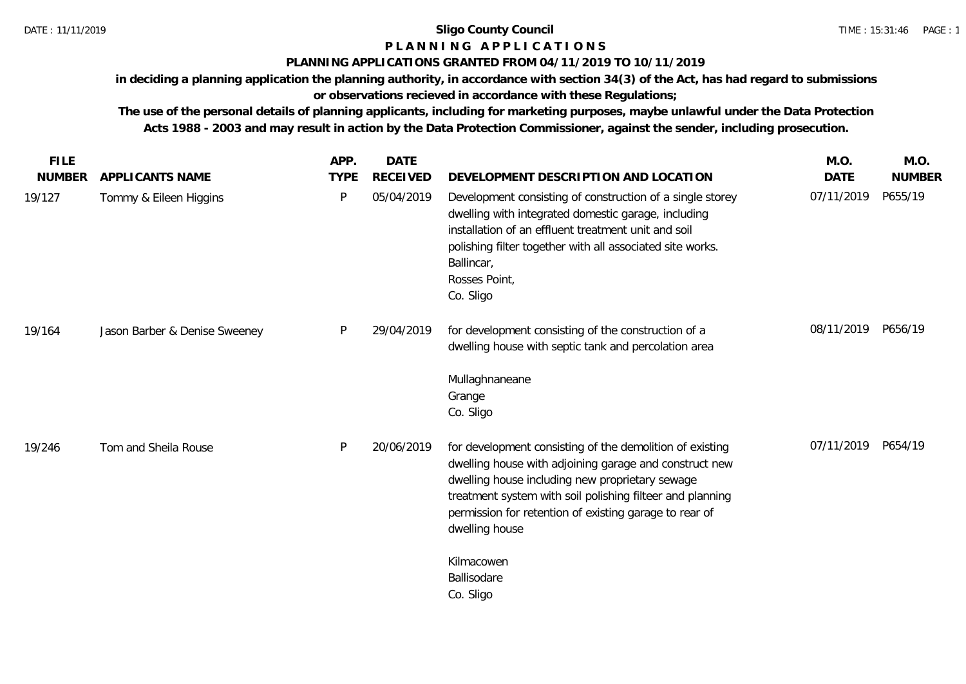## **P L A N N I N G A P P L I C A T I O N S**

### **PLANNING APPLICATIONS GRANTED FROM 04/11/2019 TO 10/11/2019**

**in deciding a planning application the planning authority, in accordance with section 34(3) of the Act, has had regard to submissions or observations recieved in accordance with these Regulations;**

**The use of the personal details of planning applicants, including for marketing purposes, maybe unlawful under the Data Protection Acts 1988 - 2003 and may result in action by the Data Protection Commissioner, against the sender, including prosecution.**

| <b>FILE</b>   |                               | APP.        | <b>DATE</b>     |                                                                                                                                                                                                                                                                                                                | M.O.        | M.O.          |
|---------------|-------------------------------|-------------|-----------------|----------------------------------------------------------------------------------------------------------------------------------------------------------------------------------------------------------------------------------------------------------------------------------------------------------------|-------------|---------------|
| <b>NUMBER</b> | APPLICANTS NAME               | <b>TYPE</b> | <b>RECEIVED</b> | DEVELOPMENT DESCRIPTION AND LOCATION                                                                                                                                                                                                                                                                           | <b>DATE</b> | <b>NUMBER</b> |
| 19/127        | Tommy & Eileen Higgins        | P           | 05/04/2019      | Development consisting of construction of a single storey<br>dwelling with integrated domestic garage, including<br>installation of an effluent treatment unit and soil<br>polishing filter together with all associated site works.<br>Ballincar,<br>Rosses Point,<br>Co. Sligo                               | 07/11/2019  | P655/19       |
| 19/164        | Jason Barber & Denise Sweeney | P           | 29/04/2019      | for development consisting of the construction of a<br>dwelling house with septic tank and percolation area                                                                                                                                                                                                    | 08/11/2019  | P656/19       |
|               |                               |             |                 | Mullaghnaneane<br>Grange<br>Co. Sligo                                                                                                                                                                                                                                                                          |             |               |
| 19/246        | Tom and Sheila Rouse          | P           | 20/06/2019      | for development consisting of the demolition of existing<br>dwelling house with adjoining garage and construct new<br>dwelling house including new proprietary sewage<br>treatment system with soil polishing filteer and planning<br>permission for retention of existing garage to rear of<br>dwelling house | 07/11/2019  | P654/19       |
|               |                               |             |                 | Kilmacowen<br>Ballisodare<br>Co. Sligo                                                                                                                                                                                                                                                                         |             |               |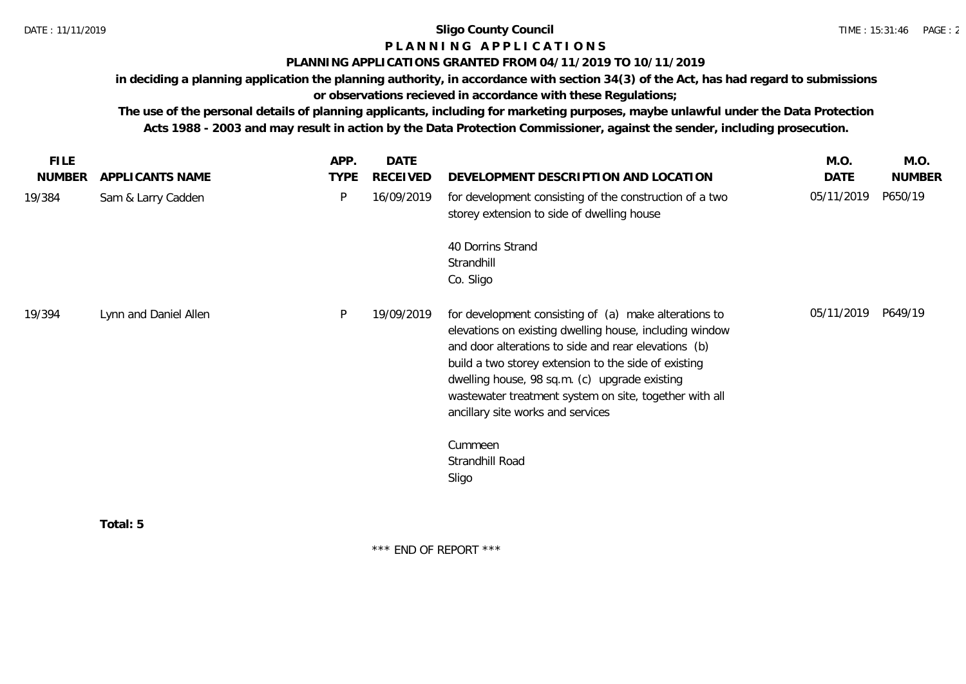# **P L A N N I N G A P P L I C A T I O N S**

### **PLANNING APPLICATIONS GRANTED FROM 04/11/2019 TO 10/11/2019**

**in deciding a planning application the planning authority, in accordance with section 34(3) of the Act, has had regard to submissions or observations recieved in accordance with these Regulations;**

**The use of the personal details of planning applicants, including for marketing purposes, maybe unlawful under the Data Protection Acts 1988 - 2003 and may result in action by the Data Protection Commissioner, against the sender, including prosecution.**

| <b>FILE</b>   |                       | APP.        | <b>DATE</b> |                                                                                                                                                                                                                                                                                                                                                                                             | M.O.       | M.O.          |
|---------------|-----------------------|-------------|-------------|---------------------------------------------------------------------------------------------------------------------------------------------------------------------------------------------------------------------------------------------------------------------------------------------------------------------------------------------------------------------------------------------|------------|---------------|
| <b>NUMBER</b> | APPLICANTS NAME       | <b>TYPE</b> | RECEIVED    | DEVELOPMENT DESCRIPTION AND LOCATION                                                                                                                                                                                                                                                                                                                                                        | DATE       | <b>NUMBER</b> |
| 19/384        | Sam & Larry Cadden    | P           | 16/09/2019  | for development consisting of the construction of a two<br>storey extension to side of dwelling house                                                                                                                                                                                                                                                                                       | 05/11/2019 | P650/19       |
|               |                       |             |             | 40 Dorrins Strand<br>Strandhill<br>Co. Sligo                                                                                                                                                                                                                                                                                                                                                |            |               |
| 19/394        | Lynn and Daniel Allen | P           | 19/09/2019  | for development consisting of (a) make alterations to<br>elevations on existing dwelling house, including window<br>and door alterations to side and rear elevations (b)<br>build a two storey extension to the side of existing<br>dwelling house, 98 sq.m. (c) upgrade existing<br>wastewater treatment system on site, together with all<br>ancillary site works and services<br>Cummeen | 05/11/2019 | P649/19       |
|               |                       |             |             | Strandhill Road<br>Sligo                                                                                                                                                                                                                                                                                                                                                                    |            |               |
|               |                       |             |             |                                                                                                                                                                                                                                                                                                                                                                                             |            |               |

**Total: 5**

\*\*\* END OF REPORT \*\*\*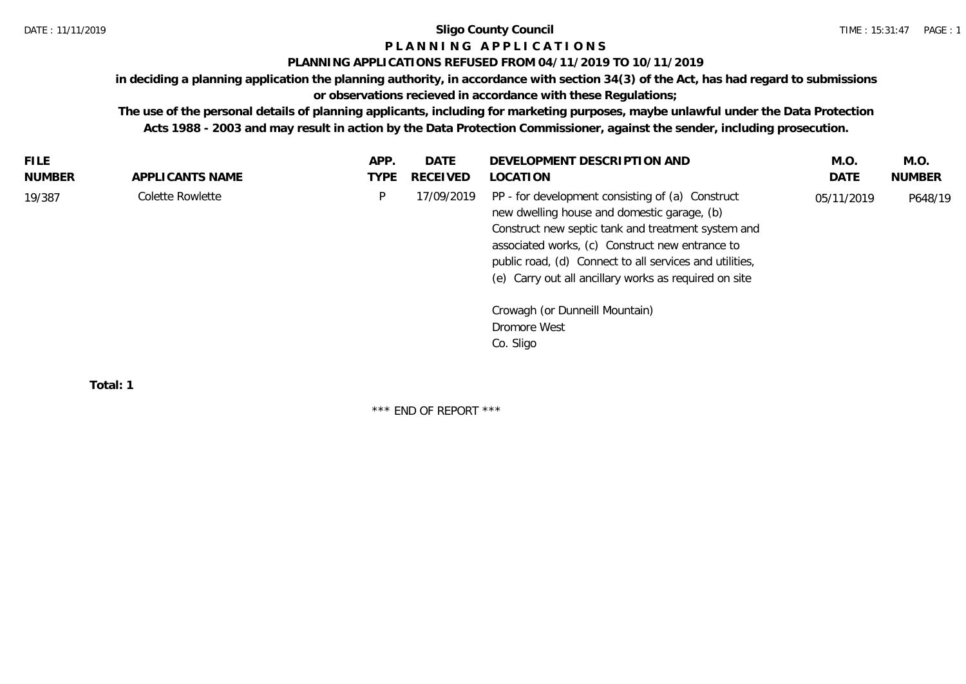# **P L A N N I N G A P P L I C A T I O N S**

## **PLANNING APPLICATIONS REFUSED FROM 04/11/2019 TO 10/11/2019**

**in deciding a planning application the planning authority, in accordance with section 34(3) of the Act, has had regard to submissions or observations recieved in accordance with these Regulations;**

**The use of the personal details of planning applicants, including for marketing purposes, maybe unlawful under the Data Protection Acts 1988 - 2003 and may result in action by the Data Protection Commissioner, against the sender, including prosecution.**

| <b>FILE</b> |                  | APP.        | DATE            | DEVELOPMENT DESCRIPTION AND                                                                                                                                                                                                                                                                                                  | M.O.       | M.O.          |
|-------------|------------------|-------------|-----------------|------------------------------------------------------------------------------------------------------------------------------------------------------------------------------------------------------------------------------------------------------------------------------------------------------------------------------|------------|---------------|
| NUMBER      | APPLICANTS NAME  | <b>TYPE</b> | <b>RECEIVED</b> | LOCATION                                                                                                                                                                                                                                                                                                                     | DATE       | <b>NUMBER</b> |
| 19/387      | Colette Rowlette | P           | 17/09/2019      | PP - for development consisting of (a) Construct<br>new dwelling house and domestic garage, (b)<br>Construct new septic tank and treatment system and<br>associated works, (c) Construct new entrance to<br>public road, (d) Connect to all services and utilities,<br>(e) Carry out all ancillary works as required on site | 05/11/2019 | P648/19       |
|             |                  |             |                 | Crowagh (or Dunneill Mountain)<br>Dromore West<br>Co. Sligo                                                                                                                                                                                                                                                                  |            |               |

**Total: 1**

\*\*\* END OF REPORT \*\*\*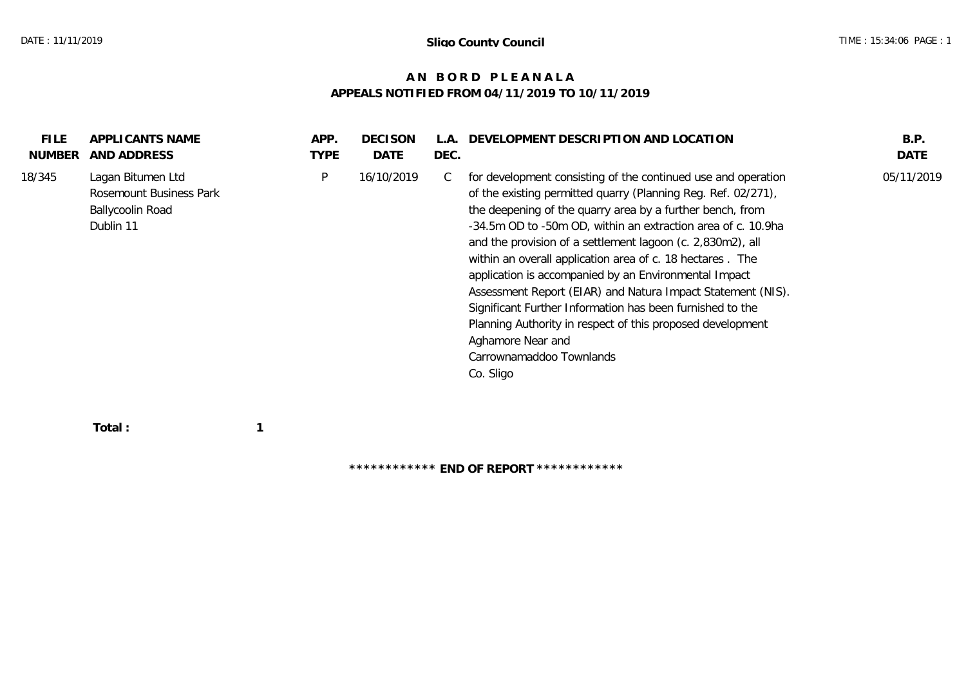# **A N B O R D P L E A N A L A APPEALS NOTIFIED FROM 04/11/2019 TO 10/11/2019**

| <b>FILE</b>   | APPLICANTS NAME                                                                      | APP.        | <b>DECISON</b> | $\Delta$ | DEVELOPMENT DESCRIPTION AND LOCATION                                                                                                                                                                                                                                                                                                                                                                                                                                                                                                                                                                                                                                                                    | B.P.       |
|---------------|--------------------------------------------------------------------------------------|-------------|----------------|----------|---------------------------------------------------------------------------------------------------------------------------------------------------------------------------------------------------------------------------------------------------------------------------------------------------------------------------------------------------------------------------------------------------------------------------------------------------------------------------------------------------------------------------------------------------------------------------------------------------------------------------------------------------------------------------------------------------------|------------|
| <b>NUMBER</b> | AND ADDRESS                                                                          | <b>TYPE</b> | DATE           | DEC.     |                                                                                                                                                                                                                                                                                                                                                                                                                                                                                                                                                                                                                                                                                                         | DATE       |
| 18/345        | Lagan Bitumen Ltd<br>Rosemount Business Park<br><b>Ballycoolin Road</b><br>Dublin 11 | P           | 16/10/2019     | C        | for development consisting of the continued use and operation<br>of the existing permitted quarry (Planning Reg. Ref. 02/271),<br>the deepening of the quarry area by a further bench, from<br>-34.5m OD to -50m OD, within an extraction area of c. 10.9ha<br>and the provision of a settlement lagoon (c. 2,830m2), all<br>within an overall application area of c. 18 hectares. The<br>application is accompanied by an Environmental Impact<br>Assessment Report (EIAR) and Natura Impact Statement (NIS).<br>Significant Further Information has been furnished to the<br>Planning Authority in respect of this proposed development<br>Aghamore Near and<br>Carrownamaddoo Townlands<br>Co. Sligo | 05/11/2019 |

 **Total : 1**

**\*\*\*\*\*\*\*\*\*\*\*\* END OF REPORT \*\*\*\*\*\*\*\*\*\*\*\***